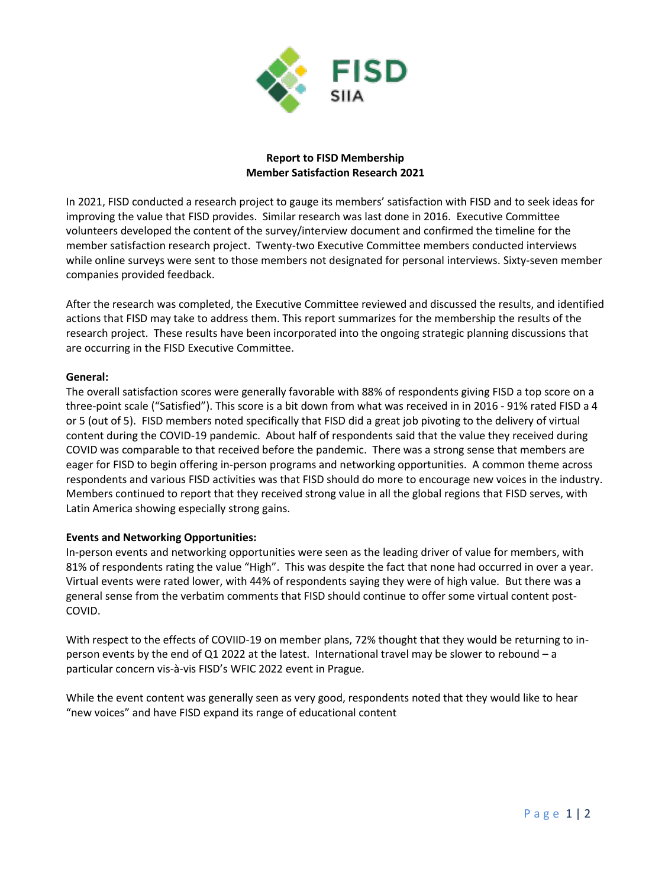

## **Report to FISD Membership Member Satisfaction Research 2021**

In 2021, FISD conducted a research project to gauge its members' satisfaction with FISD and to seek ideas for improving the value that FISD provides. Similar research was last done in 2016. Executive Committee volunteers developed the content of the survey/interview document and confirmed the timeline for the member satisfaction research project. Twenty-two Executive Committee members conducted interviews while online surveys were sent to those members not designated for personal interviews. Sixty-seven member companies provided feedback.

After the research was completed, the Executive Committee reviewed and discussed the results, and identified actions that FISD may take to address them. This report summarizes for the membership the results of the research project. These results have been incorporated into the ongoing strategic planning discussions that are occurring in the FISD Executive Committee.

# **General:**

The overall satisfaction scores were generally favorable with 88% of respondents giving FISD a top score on a three-point scale ("Satisfied"). This score is a bit down from what was received in in 2016 - 91% rated FISD a 4 or 5 (out of 5). FISD members noted specifically that FISD did a great job pivoting to the delivery of virtual content during the COVID-19 pandemic. About half of respondents said that the value they received during COVID was comparable to that received before the pandemic. There was a strong sense that members are eager for FISD to begin offering in-person programs and networking opportunities. A common theme across respondents and various FISD activities was that FISD should do more to encourage new voices in the industry. Members continued to report that they received strong value in all the global regions that FISD serves, with Latin America showing especially strong gains.

# **Events and Networking Opportunities:**

In-person events and networking opportunities were seen as the leading driver of value for members, with 81% of respondents rating the value "High". This was despite the fact that none had occurred in over a year. Virtual events were rated lower, with 44% of respondents saying they were of high value. But there was a general sense from the verbatim comments that FISD should continue to offer some virtual content post-COVID.

With respect to the effects of COVIID-19 on member plans, 72% thought that they would be returning to inperson events by the end of Q1 2022 at the latest. International travel may be slower to rebound – a particular concern vis-à-vis FISD's WFIC 2022 event in Prague.

While the event content was generally seen as very good, respondents noted that they would like to hear "new voices" and have FISD expand its range of educational content